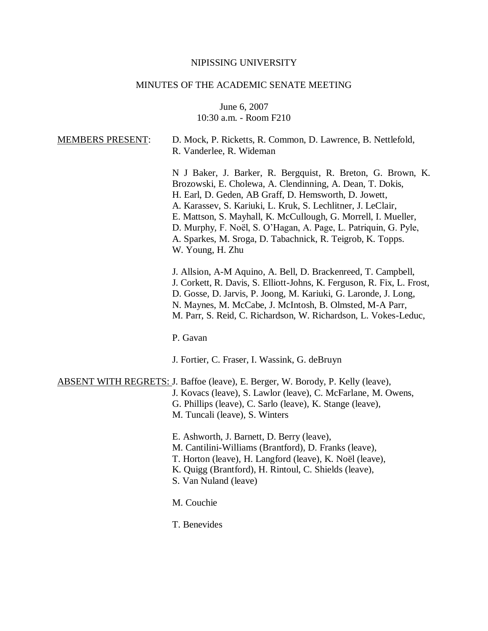#### NIPISSING UNIVERSITY

### MINUTES OF THE ACADEMIC SENATE MEETING

June 6, 2007 10:30 a.m. - Room F210

| <b>MEMBERS PRESENT:</b> | D. Mock, P. Ricketts, R. Common, D. Lawrence, B. Nettlefold,<br>R. Vanderlee, R. Wideman                                                                                                                                                                                                                                                                                                                                                                                 |
|-------------------------|--------------------------------------------------------------------------------------------------------------------------------------------------------------------------------------------------------------------------------------------------------------------------------------------------------------------------------------------------------------------------------------------------------------------------------------------------------------------------|
|                         | N J Baker, J. Barker, R. Bergquist, R. Breton, G. Brown, K.<br>Brozowski, E. Cholewa, A. Clendinning, A. Dean, T. Dokis,<br>H. Earl, D. Geden, AB Graff, D. Hemsworth, D. Jowett,<br>A. Karassev, S. Kariuki, L. Kruk, S. Lechlitner, J. LeClair,<br>E. Mattson, S. Mayhall, K. McCullough, G. Morrell, I. Mueller,<br>D. Murphy, F. Noël, S. O'Hagan, A. Page, L. Patriquin, G. Pyle,<br>A. Sparkes, M. Sroga, D. Tabachnick, R. Teigrob, K. Topps.<br>W. Young, H. Zhu |
|                         | J. Allsion, A-M Aquino, A. Bell, D. Brackenreed, T. Campbell,<br>J. Corkett, R. Davis, S. Elliott-Johns, K. Ferguson, R. Fix, L. Frost,<br>D. Gosse, D. Jarvis, P. Joong, M. Kariuki, G. Laronde, J. Long,<br>N. Maynes, M. McCabe, J. McIntosh, B. Olmsted, M-A Parr,<br>M. Parr, S. Reid, C. Richardson, W. Richardson, L. Vokes-Leduc,<br>P. Gavan                                                                                                                    |
|                         | J. Fortier, C. Fraser, I. Wassink, G. deBruyn                                                                                                                                                                                                                                                                                                                                                                                                                            |

ABSENT WITH REGRETS: J. Baffoe (leave), E. Berger, W. Borody, P. Kelly (leave), J. Kovacs (leave), S. Lawlor (leave), C. McFarlane, M. Owens, G. Phillips (leave), C. Sarlo (leave), K. Stange (leave), M. Tuncali (leave), S. Winters

E. Ashworth, J. Barnett, D. Berry (leave),

M. Cantilini-Williams (Brantford), D. Franks (leave),

T. Horton (leave), H. Langford (leave), K. Noël (leave),

- K. Quigg (Brantford), H. Rintoul, C. Shields (leave),
- S. Van Nuland (leave)

M. Couchie

T. Benevides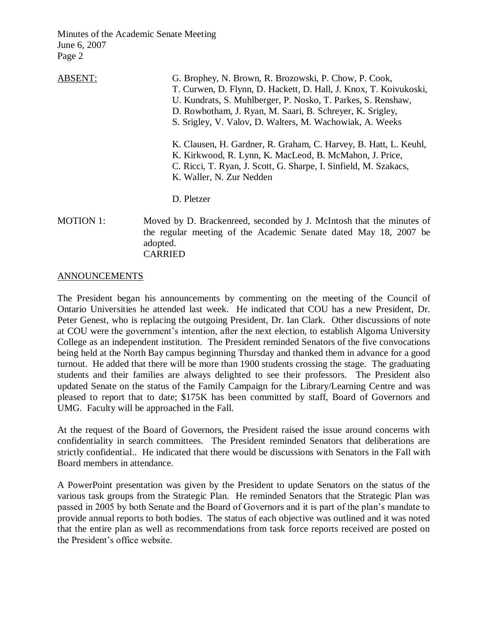| <b>ABSENT:</b>   | G. Brophey, N. Brown, R. Brozowski, P. Chow, P. Cook,<br>T. Curwen, D. Flynn, D. Hackett, D. Hall, J. Knox, T. Koivukoski,<br>U. Kundrats, S. Muhlberger, P. Nosko, T. Parkes, S. Renshaw,<br>D. Rowbotham, J. Ryan, M. Saari, B. Schreyer, K. Srigley,<br>S. Srigley, V. Valov, D. Walters, M. Wachowiak, A. Weeks |
|------------------|---------------------------------------------------------------------------------------------------------------------------------------------------------------------------------------------------------------------------------------------------------------------------------------------------------------------|
|                  | K. Clausen, H. Gardner, R. Graham, C. Harvey, B. Hatt, L. Keuhl,<br>K. Kirkwood, R. Lynn, K. MacLeod, B. McMahon, J. Price,<br>C. Ricci, T. Ryan, J. Scott, G. Sharpe, I. Sinfield, M. Szakacs,<br>K. Waller, N. Zur Nedden                                                                                         |
|                  | D. Pletzer                                                                                                                                                                                                                                                                                                          |
| <b>MOTION 1:</b> | Moved by D. Brackenreed, seconded by J. McIntosh that the minutes of<br>the regular meeting of the Academic Senate dated May 18, 2007 be<br>adopted.                                                                                                                                                                |

CARRIED

### ANNOUNCEMENTS

The President began his announcements by commenting on the meeting of the Council of Ontario Universities he attended last week. He indicated that COU has a new President, Dr. Peter Genest, who is replacing the outgoing President, Dr. Ian Clark. Other discussions of note at COU were the government's intention, after the next election, to establish Algoma University College as an independent institution. The President reminded Senators of the five convocations being held at the North Bay campus beginning Thursday and thanked them in advance for a good turnout. He added that there will be more than 1900 students crossing the stage. The graduating students and their families are always delighted to see their professors. The President also updated Senate on the status of the Family Campaign for the Library/Learning Centre and was pleased to report that to date; \$175K has been committed by staff, Board of Governors and UMG. Faculty will be approached in the Fall.

At the request of the Board of Governors, the President raised the issue around concerns with confidentiality in search committees. The President reminded Senators that deliberations are strictly confidential.. He indicated that there would be discussions with Senators in the Fall with Board members in attendance.

A PowerPoint presentation was given by the President to update Senators on the status of the various task groups from the Strategic Plan. He reminded Senators that the Strategic Plan was passed in 2005 by both Senate and the Board of Governors and it is part of the plan's mandate to provide annual reports to both bodies. The status of each objective was outlined and it was noted that the entire plan as well as recommendations from task force reports received are posted on the President's office website.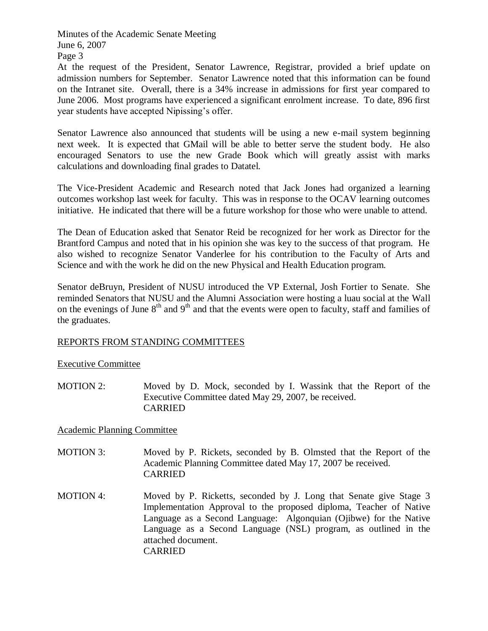Page 3

At the request of the President, Senator Lawrence, Registrar, provided a brief update on admission numbers for September. Senator Lawrence noted that this information can be found on the Intranet site. Overall, there is a 34% increase in admissions for first year compared to June 2006. Most programs have experienced a significant enrolment increase. To date, 896 first year students have accepted Nipissing's offer.

Senator Lawrence also announced that students will be using a new e-mail system beginning next week. It is expected that GMail will be able to better serve the student body. He also encouraged Senators to use the new Grade Book which will greatly assist with marks calculations and downloading final grades to Datatel.

The Vice-President Academic and Research noted that Jack Jones had organized a learning outcomes workshop last week for faculty. This was in response to the OCAV learning outcomes initiative. He indicated that there will be a future workshop for those who were unable to attend.

The Dean of Education asked that Senator Reid be recognized for her work as Director for the Brantford Campus and noted that in his opinion she was key to the success of that program. He also wished to recognize Senator Vanderlee for his contribution to the Faculty of Arts and Science and with the work he did on the new Physical and Health Education program.

Senator deBruyn, President of NUSU introduced the VP External, Josh Fortier to Senate. She reminded Senators that NUSU and the Alumni Association were hosting a luau social at the Wall on the evenings of June  $8<sup>th</sup>$  and  $9<sup>th</sup>$  and that the events were open to faculty, staff and families of the graduates.

## REPORTS FROM STANDING COMMITTEES

## Executive Committee

MOTION 2: Moved by D. Mock, seconded by I. Wassink that the Report of the Executive Committee dated May 29, 2007, be received. CARRIED

## Academic Planning Committee

- MOTION 3: Moved by P. Rickets, seconded by B. Olmsted that the Report of the Academic Planning Committee dated May 17, 2007 be received. CARRIED
- MOTION 4: Moved by P. Ricketts, seconded by J. Long that Senate give Stage 3 Implementation Approval to the proposed diploma, Teacher of Native Language as a Second Language: Algonquian (Ojibwe) for the Native Language as a Second Language (NSL) program, as outlined in the attached document. CARRIED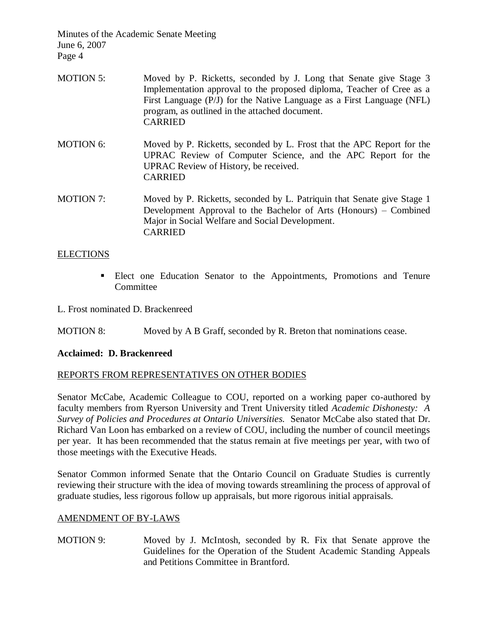- MOTION 5: Moved by P. Ricketts, seconded by J. Long that Senate give Stage 3 Implementation approval to the proposed diploma, Teacher of Cree as a First Language (P/J) for the Native Language as a First Language (NFL) program, as outlined in the attached document. CARRIED
- MOTION 6: Moved by P. Ricketts, seconded by L. Frost that the APC Report for the UPRAC Review of Computer Science, and the APC Report for the UPRAC Review of History, be received. CARRIED
- MOTION 7: Moved by P. Ricketts, seconded by L. Patriquin that Senate give Stage 1 Development Approval to the Bachelor of Arts (Honours) – Combined Major in Social Welfare and Social Development. CARRIED

## ELECTIONS

- Elect one Education Senator to the Appointments, Promotions and Tenure Committee
- L. Frost nominated D. Brackenreed
- MOTION 8: Moved by A B Graff, seconded by R. Breton that nominations cease.

## **Acclaimed: D. Brackenreed**

# REPORTS FROM REPRESENTATIVES ON OTHER BODIES

Senator McCabe, Academic Colleague to COU, reported on a working paper co-authored by faculty members from Ryerson University and Trent University titled *Academic Dishonesty: A Survey of Policies and Procedures at Ontario Universities.* Senator McCabe also stated that Dr. Richard Van Loon has embarked on a review of COU, including the number of council meetings per year. It has been recommended that the status remain at five meetings per year, with two of those meetings with the Executive Heads.

Senator Common informed Senate that the Ontario Council on Graduate Studies is currently reviewing their structure with the idea of moving towards streamlining the process of approval of graduate studies, less rigorous follow up appraisals, but more rigorous initial appraisals.

## AMENDMENT OF BY-LAWS

MOTION 9: Moved by J. McIntosh, seconded by R. Fix that Senate approve the Guidelines for the Operation of the Student Academic Standing Appeals and Petitions Committee in Brantford.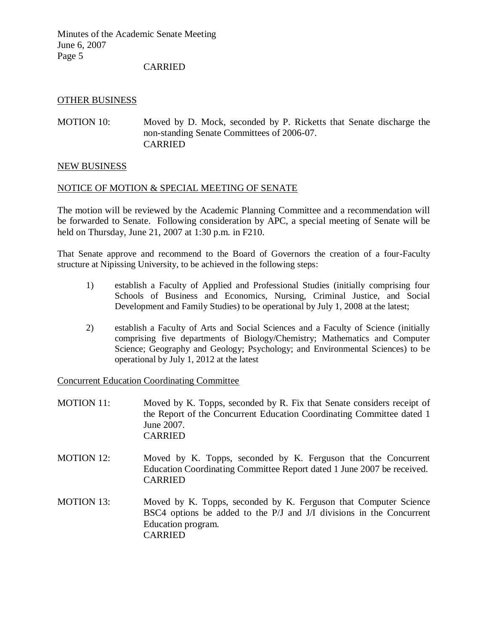CARRIED

### OTHER BUSINESS

MOTION 10: Moved by D. Mock, seconded by P. Ricketts that Senate discharge the non-standing Senate Committees of 2006-07. CARRIED

### NEW BUSINESS

### NOTICE OF MOTION & SPECIAL MEETING OF SENATE

The motion will be reviewed by the Academic Planning Committee and a recommendation will be forwarded to Senate. Following consideration by APC, a special meeting of Senate will be held on Thursday, June 21, 2007 at 1:30 p.m. in F210.

That Senate approve and recommend to the Board of Governors the creation of a four-Faculty structure at Nipissing University, to be achieved in the following steps:

- 1) establish a Faculty of Applied and Professional Studies (initially comprising four Schools of Business and Economics, Nursing, Criminal Justice, and Social Development and Family Studies) to be operational by July 1, 2008 at the latest;
- 2) establish a Faculty of Arts and Social Sciences and a Faculty of Science (initially comprising five departments of Biology/Chemistry; Mathematics and Computer Science; Geography and Geology; Psychology; and Environmental Sciences) to be operational by July 1, 2012 at the latest

Concurrent Education Coordinating Committee

- MOTION 11: Moved by K. Topps, seconded by R. Fix that Senate considers receipt of the Report of the Concurrent Education Coordinating Committee dated 1 June 2007. CARRIED
- MOTION 12: Moved by K. Topps, seconded by K. Ferguson that the Concurrent Education Coordinating Committee Report dated 1 June 2007 be received. CARRIED
- MOTION 13: Moved by K. Topps, seconded by K. Ferguson that Computer Science BSC4 options be added to the P/J and J/I divisions in the Concurrent Education program. CARRIED